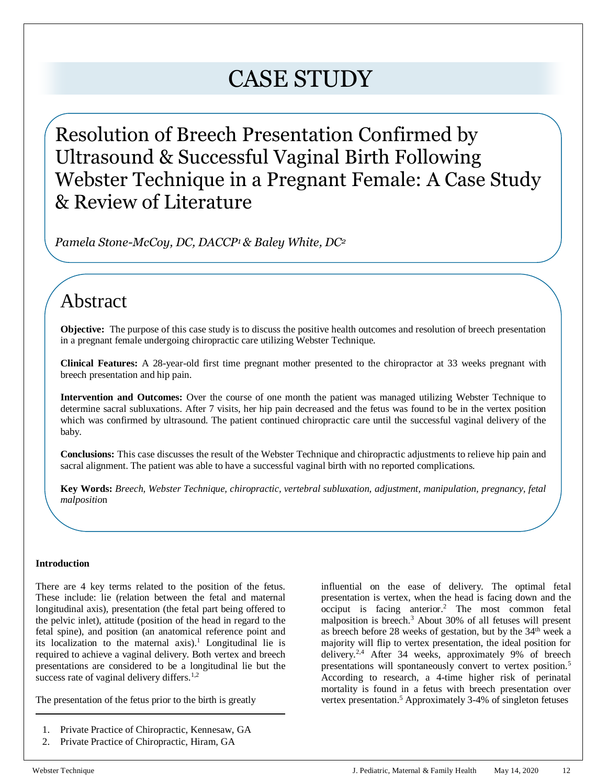# CASE STUDY

Resolution of Breech Presentation Confirmed by Ultrasound & Successful Vaginal Birth Following Webster Technique in a Pregnant Female: A Case Study & Review of Literature

*Pamela Stone-McCoy, DC, DACCP<sup>1</sup> & Baley White, DC<sup>2</sup>*

# Abstract

**Objective:** The purpose of this case study is to discuss the positive health outcomes and resolution of breech presentation in a pregnant female undergoing chiropractic care utilizing Webster Technique.

**Clinical Features:** A 28-year-old first time pregnant mother presented to the chiropractor at 33 weeks pregnant with breech presentation and hip pain.

**Intervention and Outcomes:** Over the course of one month the patient was managed utilizing Webster Technique to determine sacral subluxations. After 7 visits, her hip pain decreased and the fetus was found to be in the vertex position which was confirmed by ultrasound. The patient continued chiropractic care until the successful vaginal delivery of the baby.

**Conclusions:** This case discusses the result of the Webster Technique and chiropractic adjustments to relieve hip pain and sacral alignment. The patient was able to have a successful vaginal birth with no reported complications.

**Key Words:** *Breech, Webster Technique, chiropractic, vertebral subluxation, adjustment, manipulation, pregnancy, fetal malpositio*n

# **Introduction**

There are 4 key terms related to the position of the fetus. These include: lie (relation between the fetal and maternal longitudinal axis), presentation (the fetal part being offered to the pelvic inlet), attitude (position of the head in regard to the fetal spine), and position (an anatomical reference point and its localization to the maternal  $axis$ ).<sup>1</sup> Longitudinal lie is required to achieve a vaginal delivery. Both vertex and breech presentations are considered to be a longitudinal lie but the success rate of vaginal delivery differs.<sup>1,2</sup>

The presentation of the fetus prior to the birth is greatly

- 1. Private Practice of Chiropractic, Kennesaw, GA
- 2. Private Practice of Chiropractic, Hiram, GA

influential on the ease of delivery. The optimal fetal presentation is vertex, when the head is facing down and the occiput is facing anterior.<sup>2</sup> The most common fetal malposition is breech.<sup>3</sup> About 30% of all fetuses will present as breech before 28 weeks of gestation, but by the 34<sup>th</sup> week a majority will flip to vertex presentation, the ideal position for delivery.<sup>2,4</sup> After 34 weeks, approximately 9% of breech presentations will spontaneously convert to vertex position.<sup>5</sup> According to research, a 4-time higher risk of perinatal mortality is found in a fetus with breech presentation over vertex presentation.<sup>5</sup> Approximately 3-4% of singleton fetuses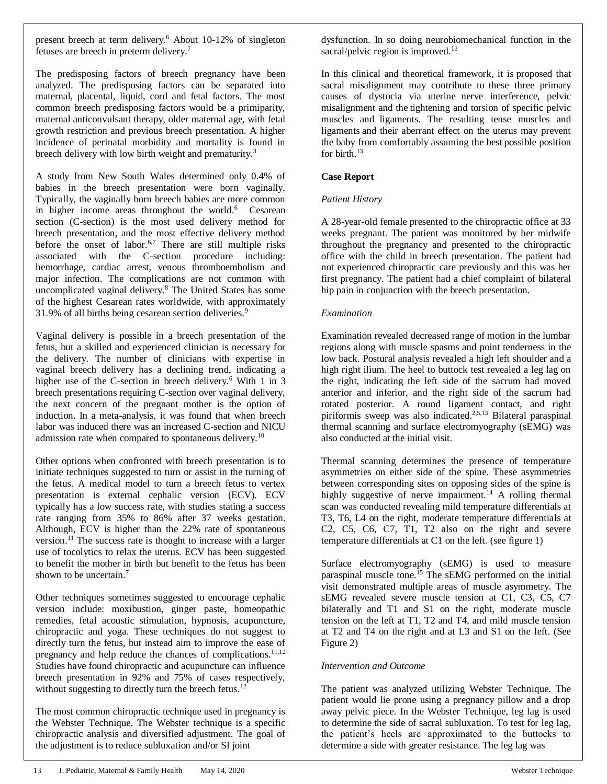present breech at term delivery.<sup>6</sup> About 10-12% of singleton fetuses are breech in preterm delivery.<sup>7</sup>

The predisposing factors of breech pregnancy have been analyzed. The predisposing factors can be separated into maternal, placental, liquid, cord and fetal factors. The most common breech predisposing factors would be a primiparity, maternal anticonvulsant therapy, older maternal age, with fetal growth restriction and previous breech presentation. A higher incidence of perinatal morbidity and mortality is found in breech delivery with low birth weight and prematurity.<sup>3</sup>

A study from New South Wales determined only 0.4% of babies in the breech presentation were born vaginally. Typically, the vaginally born breech babies are more common in higher income areas throughout the world.<sup>6</sup> Cesarean section (C-section) is the most used delivery method for breech presentation, and the most effective delivery method before the onset of labor.<sup>6,7</sup> There are still multiple risks associated with the C-section procedure including: hemorrhage, cardiac arrest, venous thromboembolism and major infection. The complications are not common with uncomplicated vaginal delivery.<sup>8</sup> The United States has some of the highest Cesarean rates worldwide, with approximately 31.9% of all births being cesarean section deliveries.<sup>9</sup>

Vaginal delivery is possible in a breech presentation of the fetus, but a skilled and experienced clinician is necessary for the delivery. The number of clinicians with expertise in vaginal breech delivery has a declining trend, indicating a higher use of the C-section in breech delivery.<sup>6</sup> With 1 in 3 breech presentations requiring C-section over vaginal delivery, the next concern of the pregnant mother is the option of induction. In a meta-analysis, it was found that when breech labor was induced there was an increased C-section and NICU admission rate when compared to spontaneous delivery.<sup>10</sup>

Other options when confronted with breech presentation is to initiate techniques suggested to turn or assist in the turning of the fetus. A medical model to turn a breech fetus to vertex presentation is external cephalic version (ECV). ECV typically has a low success rate, with studies stating a success rate ranging from 35% to 86% after 37 weeks gestation. Although, ECV is higher than the 22% rate of spontaneous version.<sup>11</sup> The success rate is thought to increase with a larger use of tocolytics to relax the uterus. ECV has been suggested to benefit the mother in birth but benefit to the fetus has been shown to be uncertain.<sup>7</sup>

Other techniques sometimes suggested to encourage cephalic version include: moxibustion, ginger paste, homeopathic remedies, fetal acoustic stimulation, hypnosis, acupuncture, chiropractic and yoga. These techniques do not suggest to directly turn the fetus, but instead aim to improve the ease of pregnancy and help reduce the chances of complications.<sup>11,12</sup> Studies have found chiropractic and acupuncture can influence breech presentation in 92% and 75% of cases respectively, without suggesting to directly turn the breech fetus.<sup>12</sup>

The most common chiropractic technique used in pregnancy is the Webster Technique. The Webster technique is a specific chiropractic analysis and diversified adjustment. The goal of the adjustment is to reduce subluxation and/or SI joint

dysfunction. In so doing neurobiomechanical function in the sacral/pelvic region is improved. $13$ 

In this clinical and theoretical framework, it is proposed that sacral misalignment may contribute to these three primary causes of dystocia via uterine nerve interference, pelvic misalignment and the tightening and torsion of specific pelvic muscles and ligaments. The resulting tense muscles and ligaments and their aberrant effect on the uterus may prevent the baby from comfortably assuming the best possible position for birth.<sup>13</sup>

### **Case Report**

### *Patient History*

A 28-year-old female presented to the chiropractic office at 33 weeks pregnant. The patient was monitored by her midwife throughout the pregnancy and presented to the chiropractic office with the child in breech presentation. The patient had not experienced chiropractic care previously and this was her first pregnancy. The patient had a chief complaint of bilateral hip pain in conjunction with the breech presentation.

#### *Examination*

Examination revealed decreased range of motion in the lumbar regions along with muscle spasms and point tenderness in the low back. Postural analysis revealed a high left shoulder and a high right ilium. The heel to buttock test revealed a leg lag on the right, indicating the left side of the sacrum had moved anterior and inferior, and the right side of the sacrum had rotated posterior. A round ligament contact, and right piriformis sweep was also indicated.2,5,13 Bilateral paraspinal thermal scanning and surface electromyography (sEMG) was also conducted at the initial visit.

Thermal scanning determines the presence of temperature asymmetries on either side of the spine. These asymmetries between corresponding sites on opposing sides of the spine is highly suggestive of nerve impairment.<sup>14</sup> A rolling thermal scan was conducted revealing mild temperature differentials at T3, T6, L4 on the right, moderate temperature differentials at C2, C5, C6, C7, T1, T2 also on the right and severe temperature differentials at C1 on the left. (see figure 1)

Surface electromyography (sEMG) is used to measure paraspinal muscle tone.<sup>15</sup> The sEMG performed on the initial visit demonstrated multiple areas of muscle asymmetry. The sEMG revealed severe muscle tension at C1, C3, C5, C7 bilaterally and T1 and S1 on the right, moderate muscle tension on the left at T1, T2 and T4, and mild muscle tension at T2 and T4 on the right and at L3 and S1 on the left. (See Figure 2)

#### *Intervention and Outcome*

The patient was analyzed utilizing Webster Technique. The patient would lie prone using a pregnancy pillow and a drop away pelvic piece. In the Webster Technique, leg lag is used to determine the side of sacral subluxation. To test for leg lag, the patient's heels are approximated to the buttocks to determine a side with greater resistance. The leg lag was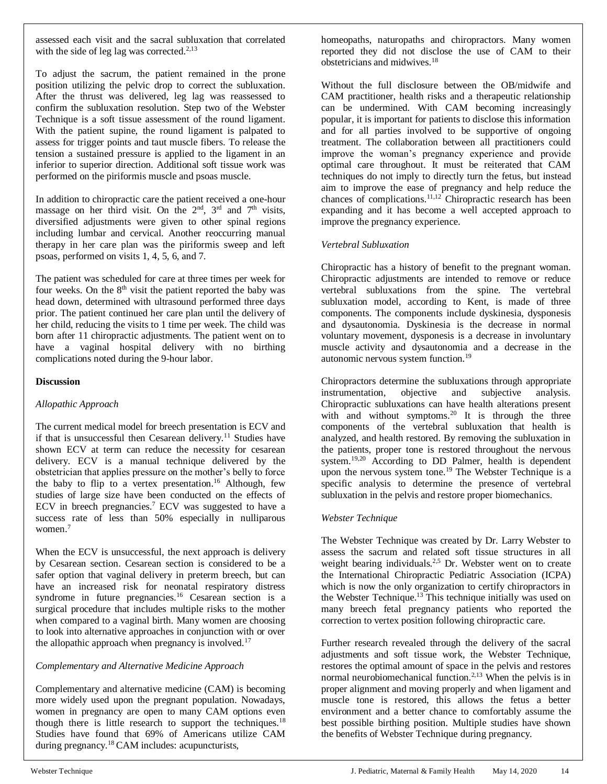assessed each visit and the sacral subluxation that correlated with the side of leg lag was corrected. $2,13$ 

To adjust the sacrum, the patient remained in the prone position utilizing the pelvic drop to correct the subluxation. After the thrust was delivered, leg lag was reassessed to confirm the subluxation resolution. Step two of the Webster Technique is a soft tissue assessment of the round ligament. With the patient supine, the round ligament is palpated to assess for trigger points and taut muscle fibers. To release the tension a sustained pressure is applied to the ligament in an inferior to superior direction. Additional soft tissue work was performed on the piriformis muscle and psoas muscle.

In addition to chiropractic care the patient received a one-hour massage on her third visit. On the  $2<sup>nd</sup>$ ,  $3<sup>rd</sup>$  and  $7<sup>th</sup>$  visits, diversified adjustments were given to other spinal regions including lumbar and cervical. Another reoccurring manual therapy in her care plan was the piriformis sweep and left psoas, performed on visits 1, 4, 5, 6, and 7.

The patient was scheduled for care at three times per week for four weeks. On the  $8<sup>th</sup>$  visit the patient reported the baby was head down, determined with ultrasound performed three days prior. The patient continued her care plan until the delivery of her child, reducing the visits to 1 time per week. The child was born after 11 chiropractic adjustments. The patient went on to have a vaginal hospital delivery with no birthing complications noted during the 9-hour labor.

#### **Discussion**

# *Allopathic Approach*

The current medical model for breech presentation is ECV and if that is unsuccessful then Cesarean delivery.<sup>11</sup> Studies have shown ECV at term can reduce the necessity for cesarean delivery. ECV is a manual technique delivered by the obstetrician that applies pressure on the mother's belly to force the baby to flip to a vertex presentation.<sup>16</sup> Although, few studies of large size have been conducted on the effects of ECV in breech pregnancies.<sup>7</sup> ECV was suggested to have a success rate of less than 50% especially in nulliparous women.<sup>7</sup>

When the ECV is unsuccessful, the next approach is delivery by Cesarean section. Cesarean section is considered to be a safer option that vaginal delivery in preterm breech, but can have an increased risk for neonatal respiratory distress syndrome in future pregnancies.<sup>16</sup> Cesarean section is a surgical procedure that includes multiple risks to the mother when compared to a vaginal birth. Many women are choosing to look into alternative approaches in conjunction with or over the allopathic approach when pregnancy is involved.<sup>17</sup>

# *Complementary and Alternative Medicine Approach*

Complementary and alternative medicine (CAM) is becoming more widely used upon the pregnant population. Nowadays, women in pregnancy are open to many CAM options even though there is little research to support the techniques.<sup>18</sup> Studies have found that 69% of Americans utilize CAM during pregnancy.<sup>18</sup> CAM includes: acupuncturists,

homeopaths, naturopaths and chiropractors. Many women reported they did not disclose the use of CAM to their obstetricians and midwives.<sup>18</sup>

Without the full disclosure between the OB/midwife and CAM practitioner, health risks and a therapeutic relationship can be undermined. With CAM becoming increasingly popular, it is important for patients to disclose this information and for all parties involved to be supportive of ongoing treatment. The collaboration between all practitioners could improve the woman's pregnancy experience and provide optimal care throughout. It must be reiterated that CAM techniques do not imply to directly turn the fetus, but instead aim to improve the ease of pregnancy and help reduce the chances of complications.11,12 Chiropractic research has been expanding and it has become a well accepted approach to improve the pregnancy experience.

#### *Vertebral Subluxation*

Chiropractic has a history of benefit to the pregnant woman. Chiropractic adjustments are intended to remove or reduce vertebral subluxations from the spine. The vertebral subluxation model, according to Kent, is made of three components. The components include dyskinesia, dysponesis and dysautonomia. Dyskinesia is the decrease in normal voluntary movement, dysponesis is a decrease in involuntary muscle activity and dysautonomia and a decrease in the autonomic nervous system function.<sup>19</sup>

Chiropractors determine the subluxations through appropriate instrumentation, objective and subjective analysis. Chiropractic subluxations can have health alterations present with and without symptoms.<sup>20</sup> It is through the three components of the vertebral subluxation that health is analyzed, and health restored. By removing the subluxation in the patients, proper tone is restored throughout the nervous system.<sup>19,20</sup> According to DD Palmer, health is dependent upon the nervous system tone.<sup>19</sup> The Webster Technique is a specific analysis to determine the presence of vertebral subluxation in the pelvis and restore proper biomechanics.

# *Webster Technique*

The Webster Technique was created by Dr. Larry Webster to assess the sacrum and related soft tissue structures in all weight bearing individuals.<sup>2,5</sup> Dr. Webster went on to create the International Chiropractic Pediatric Association (ICPA) which is now the only organization to certify chiropractors in the Webster Technique.<sup>13</sup> This technique initially was used on many breech fetal pregnancy patients who reported the correction to vertex position following chiropractic care.

Further research revealed through the delivery of the sacral adjustments and soft tissue work, the Webster Technique, restores the optimal amount of space in the pelvis and restores normal neurobiomechanical function.<sup>2,13</sup> When the pelvis is in proper alignment and moving properly and when ligament and muscle tone is restored, this allows the fetus a better environment and a better chance to comfortably assume the best possible birthing position. Multiple studies have shown the benefits of Webster Technique during pregnancy.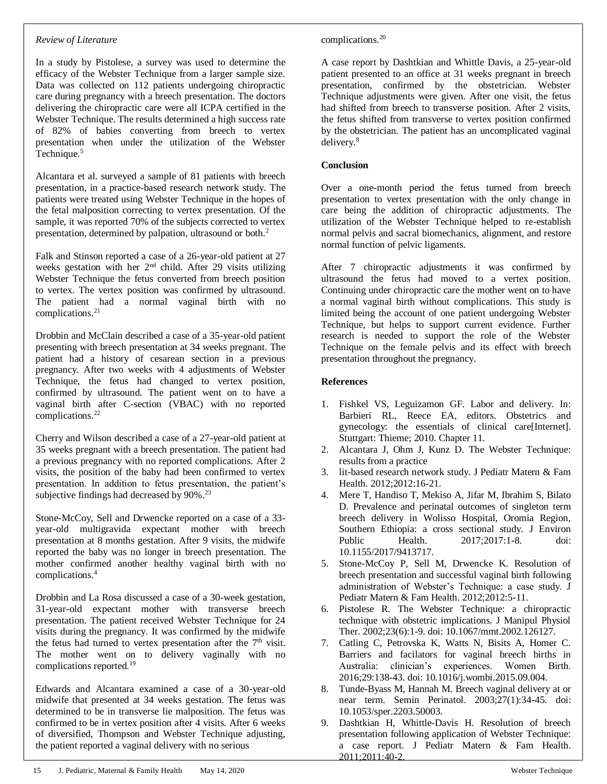#### *Review of Literature*

In a study by Pistolese, a survey was used to determine the efficacy of the Webster Technique from a larger sample size. Data was collected on 112 patients undergoing chiropractic care during pregnancy with a breech presentation. The doctors delivering the chiropractic care were all ICPA certified in the Webster Technique. The results determined a high success rate of 82% of babies converting from breech to vertex presentation when under the utilization of the Webster Technique.<sup>5</sup>

Alcantara et al. surveyed a sample of 81 patients with breech presentation, in a practice-based research network study. The patients were treated using Webster Technique in the hopes of the fetal malposition correcting to vertex presentation. Of the sample, it was reported 70% of the subjects corrected to vertex presentation, determined by palpation, ultrasound or both.<sup>2</sup>

Falk and Stinson reported a case of a 26-year-old patient at 27 weeks gestation with her 2<sup>nd</sup> child. After 29 visits utilizing Webster Technique the fetus converted from breech position to vertex. The vertex position was confirmed by ultrasound. The patient had a normal vaginal birth with no complications.<sup>21</sup>

Drobbin and McClain described a case of a 35-year-old patient presenting with breech presentation at 34 weeks pregnant. The patient had a history of cesarean section in a previous pregnancy. After two weeks with 4 adjustments of Webster Technique, the fetus had changed to vertex position, confirmed by ultrasound. The patient went on to have a vaginal birth after C-section (VBAC) with no reported complications.<sup>22</sup>

Cherry and Wilson described a case of a 27-year-old patient at 35 weeks pregnant with a breech presentation. The patient had a previous pregnancy with no reported complications. After 2 visits, the position of the baby had been confirmed to vertex presentation. In addition to fetus presentation, the patient's subjective findings had decreased by 90%.<sup>23</sup>

Stone-McCoy, Sell and Drwencke reported on a case of a 33 year-old multigravida expectant mother with breech presentation at 8 months gestation. After 9 visits, the midwife reported the baby was no longer in breech presentation. The mother confirmed another healthy vaginal birth with no complications.<sup>4</sup>

Drobbin and La Rosa discussed a case of a 30-week gestation, 31-year-old expectant mother with transverse breech presentation. The patient received Webster Technique for 24 visits during the pregnancy. It was confirmed by the midwife the fetus had turned to vertex presentation after the  $7<sup>th</sup>$  visit. The mother went on to delivery vaginally with no complications reported.<sup>19</sup>

Edwards and Alcantara examined a case of a 30-year-old midwife that presented at 34 weeks gestation. The fetus was determined to be in transverse lie malposition. The fetus was confirmed to be in vertex position after 4 visits. After 6 weeks of diversified, Thompson and Webster Technique adjusting, the patient reported a vaginal delivery with no serious

#### complications.<sup>20</sup>

A case report by Dashtkian and Whittle Davis, a 25-year-old patient presented to an office at 31 weeks pregnant in breech presentation, confirmed by the obstetrician. Webster Technique adjustments were given. After one visit, the fetus had shifted from breech to transverse position. After 2 visits, the fetus shifted from transverse to vertex position confirmed by the obstetrician. The patient has an uncomplicated vaginal delivery.<sup>8</sup>

#### **Conclusion**

Over a one-month period the fetus turned from breech presentation to vertex presentation with the only change in care being the addition of chiropractic adjustments. The utilization of the Webster Technique helped to re-establish normal pelvis and sacral biomechanics, alignment, and restore normal function of pelvic ligaments.

After 7 chiropractic adjustments it was confirmed by ultrasound the fetus had moved to a vertex position. Continuing under chiropractic care the mother went on to have a normal vaginal birth without complications. This study is limited being the account of one patient undergoing Webster Technique, but helps to support current evidence. Further research is needed to support the role of the Webster Technique on the female pelvis and its effect with breech presentation throughout the pregnancy.

#### **References**

- 1. Fishkel VS, Leguizamon GF. Labor and delivery. In: Barbieri RL, Reece EA, editors. Obstetrics and gynecology: the essentials of clinical care[Internet]. Stuttgart: Thieme; 2010. Chapter 11.
- 2. Alcantara J, Ohm J, Kunz D. The Webster Technique: results from a practice
- 3. lit-based research network study. J Pediatr Matern & Fam Health. 2012;2012:16-21.
- 4. Mere T, Handiso T, Mekiso A, Jifar M, Ibrahim S, Bilato D. Prevalence and perinatal outcomes of singleton term breech delivery in Wolisso Hospital, Oromia Region, Southern Ethiopia: a cross sectional study. J Environ Public Health. 2017;2017:1-8. doi: 10.1155/2017/9413717.
- 5. Stone-McCoy P, Sell M, Drwencke K. Resolution of breech presentation and successful vaginal birth following administration of Webster's Technique: a case study. J Pediatr Matern & Fam Health. 2012;2012:5-11.
- 6. Pistolese R. The Webster Technique: a chiropractic technique with obstetric implications. J Manipul Physiol Ther. 2002;23(6):1-9. doi: 10.1067/mmt.2002.126127.
- 7. Catling C, Petrovska K, Watts N, Bisits A, Homer C. Barriers and facilators for vaginal breech births in Australia: clinician's experiences. Women Birth. 2016;29:138-43. doi: 10.1016/j.wombi.2015.09.004.
- 8. Tunde-Byass M, Hannah M. Breech vaginal delivery at or near term. Semin Perinatol. 2003;27(1):34-45. doi: 10.1053/sper.2203.50003.
- 9. Dashtkian H, Whittle-Davis H. Resolution of breech presentation following application of Webster Technique: a case report. J Pediatr Matern & Fam Health. 2011;2011:40-2.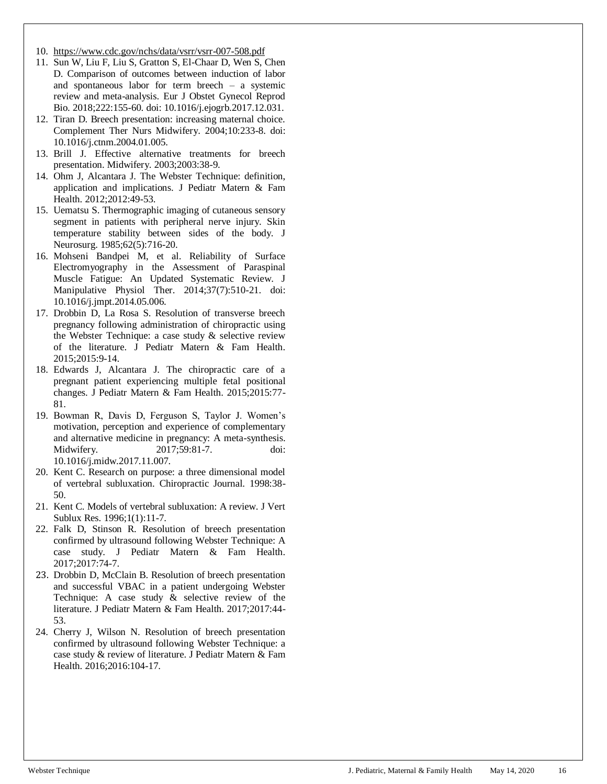- 10. <https://www.cdc.gov/nchs/data/vsrr/vsrr-007-508.pdf>
- 11. Sun W, Liu F, Liu S, Gratton S, El-Chaar D, Wen S, Chen D. Comparison of outcomes between induction of labor and spontaneous labor for term breech – a systemic review and meta-analysis. Eur J Obstet Gynecol Reprod Bio. 2018;222:155-60. doi: 10.1016/j.ejogrb.2017.12.031.
- 12. Tiran D. Breech presentation: increasing maternal choice. Complement Ther Nurs Midwifery. 2004;10:233-8. doi: 10.1016/j.ctnm.2004.01.005.
- 13. Brill J. Effective alternative treatments for breech presentation. Midwifery. 2003;2003:38-9.
- 14. Ohm J, Alcantara J. The Webster Technique: definition, application and implications. J Pediatr Matern & Fam Health. 2012;2012:49-53.
- 15. Uematsu S. Thermographic imaging of cutaneous sensory segment in patients with peripheral nerve injury. Skin temperature stability between sides of the body. J Neurosurg. 1985;62(5):716-20.
- 16. Mohseni Bandpei M, et al. Reliability of Surface Electromyography in the Assessment of Paraspinal Muscle Fatigue: An Updated Systematic Review. J Manipulative Physiol Ther. 2014;37(7):510-21. doi: 10.1016/j.jmpt.2014.05.006.
- 17. Drobbin D, La Rosa S. Resolution of transverse breech pregnancy following administration of chiropractic using the Webster Technique: a case study & selective review of the literature. J Pediatr Matern & Fam Health. 2015;2015:9-14.
- 18. Edwards J, Alcantara J. The chiropractic care of a pregnant patient experiencing multiple fetal positional changes. J Pediatr Matern & Fam Health. 2015;2015:77- 81.
- 19. Bowman R, Davis D, Ferguson S, Taylor J. Women's motivation, perception and experience of complementary and alternative medicine in pregnancy: A meta-synthesis. Midwifery. 2017;59:81-7. doi: 10.1016/j.midw.2017.11.007.
- 20. Kent C. Research on purpose: a three dimensional model of vertebral subluxation. Chiropractic Journal. 1998:38- 50.
- 21. Kent C. Models of vertebral subluxation: A review. J Vert Sublux Res. 1996;1(1):11-7.
- 22. Falk D, Stinson R. Resolution of breech presentation confirmed by ultrasound following Webster Technique: A case study. J Pediatr Matern & Fam Health. 2017;2017:74-7.
- 23. Drobbin D, McClain B. Resolution of breech presentation and successful VBAC in a patient undergoing Webster Technique: A case study & selective review of the literature. J Pediatr Matern & Fam Health. 2017;2017:44- 53.
- 24. Cherry J, Wilson N. Resolution of breech presentation confirmed by ultrasound following Webster Technique: a case study & review of literature. J Pediatr Matern & Fam Health. 2016;2016:104-17.